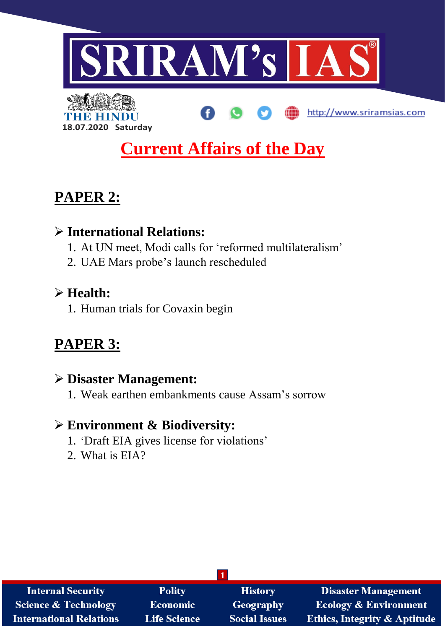

http://www.sriramsias.com



# **Current Affairs of the Day**

# **PAPER 2:**

# **International Relations:**

- 1. At UN meet, Modi calls for 'reformed multilateralism'
- 2. UAE Mars probe's launch rescheduled

# **Health:**

1. Human trials for Covaxin begin

# **PAPER 3:**

# **Disaster Management:**

1. Weak earthen embankments cause Assam's sorrow

# **Environment & Biodiversity:**

- 1. 'Draft EIA gives license for violations'
- 2. What is EIA?

| <b>Internal Security</b>        | <b>Polity</b>       | <b>History</b>       | <b>Disaster Management</b>              |
|---------------------------------|---------------------|----------------------|-----------------------------------------|
| <b>Science &amp; Technology</b> | <b>Economic</b>     | <b>Geography</b>     | <b>Ecology &amp; Environment</b>        |
| <b>International Relations</b>  | <b>Life Science</b> | <b>Social Issues</b> | <b>Ethics, Integrity &amp; Aptitude</b> |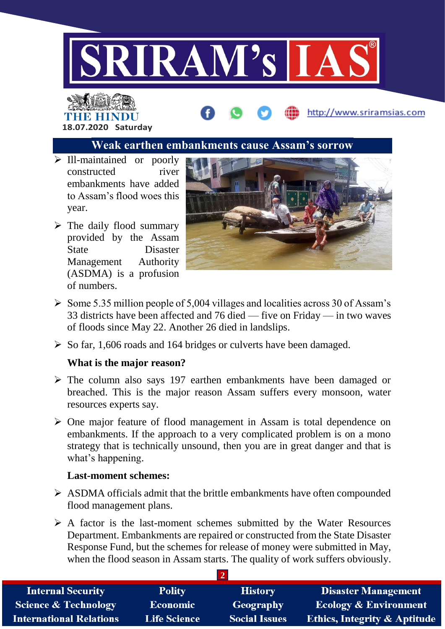

# THE HIND **18.07.2020 Saturday**



### **Weak earthen embankments cause Assam's sorrow**

- $\triangleright$  Ill-maintained or poorly constructed river embankments have added to Assam's flood woes this year.
- $\triangleright$  The daily flood summary provided by the Assam State Disaster Management Authority (ASDMA) is a profusion of numbers.



- $\geq$  Some 5.35 million people of 5,004 villages and localities across 30 of Assam's 33 districts have been affected and 76 died — five on Friday — in two waves of floods since May 22. Another 26 died in landslips.
- $\triangleright$  So far, 1,606 roads and 164 bridges or culverts have been damaged.

### **What is the major reason?**

- $\triangleright$  The column also says 197 earthen embankments have been damaged or breached. This is the major reason Assam suffers every monsoon, water resources experts say.
- $\triangleright$  One major feature of flood management in Assam is total dependence on embankments. If the approach to a very complicated problem is on a mono strategy that is technically unsound, then you are in great danger and that is what's happening.

#### **Last-moment schemes:**

- $\triangleright$  ASDMA officials admit that the brittle embankments have often compounded flood management plans.
- $\triangleright$  A factor is the last-moment schemes submitted by the Water Resources Department. Embankments are repaired or constructed from the State Disaster Response Fund, but the schemes for release of money were submitted in May, when the flood season in Assam starts. The quality of work suffers obviously.

| <b>Internal Security</b>        | <b>Polity</b>       | <b>History</b>       | <b>Disaster Management</b>              |
|---------------------------------|---------------------|----------------------|-----------------------------------------|
| <b>Science &amp; Technology</b> | <b>Economic</b>     | <b>Geography</b>     | <b>Ecology &amp; Environment</b>        |
| <b>International Relations</b>  | <b>Life Science</b> | <b>Social Issues</b> | <b>Ethics, Integrity &amp; Aptitude</b> |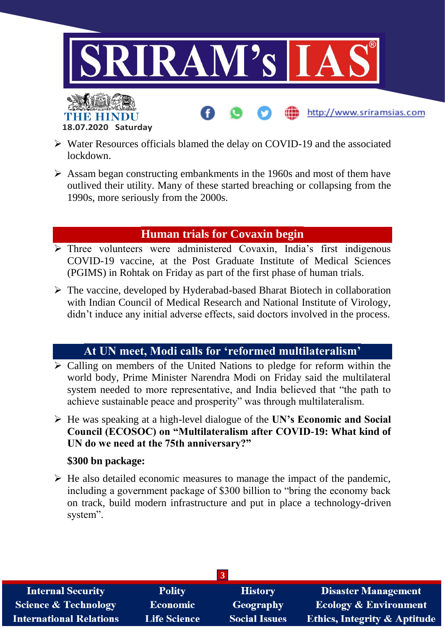

- Water Resources officials blamed the delay on COVID-19 and the associated lockdown.
- $\triangleright$  Assam began constructing embankments in the 1960s and most of them have outlived their utility. Many of these started breaching or collapsing from the 1990s, more seriously from the 2000s.

### **Human trials for Covaxin begin**

- $\triangleright$  Three volunteers were administered Covaxin, India's first indigenous COVID-19 vaccine, at the Post Graduate Institute of Medical Sciences (PGIMS) in Rohtak on Friday as part of the first phase of human trials.
- The vaccine, developed by Hyderabad-based Bharat Biotech in collaboration with Indian Council of Medical Research and National Institute of Virology, didn't induce any initial adverse effects, said doctors involved in the process.

# **At UN meet, Modi calls for 'reformed multilateralism'**

- $\triangleright$  Calling on members of the United Nations to pledge for reform within the world body, Prime Minister Narendra Modi on Friday said the multilateral system needed to more representative, and India believed that "the path to achieve sustainable peace and prosperity" was through multilateralism.
- He was speaking at a high-level dialogue of the **UN's Economic and Social Council (ECOSOC) on "Multilateralism after COVID-19: What kind of UN do we need at the 75th anniversary?"**

### **\$300 bn package:**

**18.07.2020 Saturday**

 $\triangleright$  He also detailed economic measures to manage the impact of the pandemic, including a government package of \$300 billion to "bring the economy back on track, build modern infrastructure and put in place a technology-driven system".

| $\overline{3}$                  |                     |                      |                                         |
|---------------------------------|---------------------|----------------------|-----------------------------------------|
| <b>Internal Security</b>        | <b>Polity</b>       | <b>History</b>       | <b>Disaster Management</b>              |
| <b>Science &amp; Technology</b> | <b>Economic</b>     | <b>Geography</b>     | <b>Ecology &amp; Environment</b>        |
| <b>International Relations</b>  | <b>Life Science</b> | <b>Social Issues</b> | <b>Ethics, Integrity &amp; Aptitude</b> |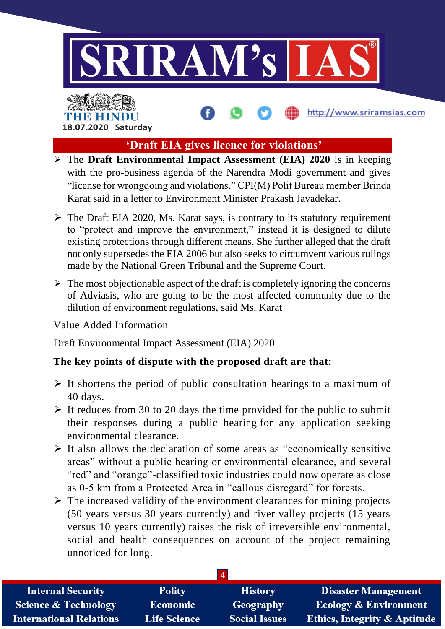

# THE HINDL **18.07.2020 Saturday**

### **'Draft EIA gives licence for violations'**

http://www.sriramsias.com

- **The Draft Environmental Impact Assessment (EIA) 2020** is in keeping with the pro-business agenda of the Narendra Modi government and gives "license for wrongdoing and violations," CPI(M) Polit Bureau member Brinda Karat said in a letter to Environment Minister Prakash Javadekar.
- $\triangleright$  The Draft EIA 2020, Ms. Karat says, is contrary to its statutory requirement to "protect and improve the environment," instead it is designed to dilute existing protections through different means. She further alleged that the draft not only supersedes the EIA 2006 but also seeks to circumvent various rulings made by the National Green Tribunal and the Supreme Court.
- $\triangleright$  The most objectionable aspect of the draft is completely ignoring the concerns of Adviasis, who are going to be the most affected community due to the dilution of environment regulations, said Ms. Karat

### Value Added Information

Draft Environmental Impact Assessment (EIA) 2020

## **The key points of dispute with the proposed draft are that:**

- $\triangleright$  It shortens the period of public consultation hearings to a maximum of 40 days.
- $\triangleright$  It reduces from 30 to 20 days the time provided for the public to submit their responses during a public hearing for any application seeking environmental clearance.
- $\triangleright$  It also allows the declaration of some areas as "economically sensitive areas" without a public hearing or environmental clearance, and several "red" and "orange"-classified toxic industries could now operate as close as 0-5 km from a Protected Area in "callous disregard" for forests.
- $\triangleright$  The increased validity of the environment clearances for mining projects (50 years versus 30 years currently) and river valley projects (15 years versus 10 years currently) raises the risk of irreversible environmental, social and health consequences on account of the project remaining unnoticed for long.

| <b>Internal Security</b>        | <b>Polity</b>       | <b>History</b>       | <b>Disaster Management</b>              |
|---------------------------------|---------------------|----------------------|-----------------------------------------|
| <b>Science &amp; Technology</b> | <b>Economic</b>     | Geography            | <b>Ecology &amp; Environment</b>        |
| <b>International Relations</b>  | <b>Life Science</b> | <b>Social Issues</b> | <b>Ethics, Integrity &amp; Aptitude</b> |